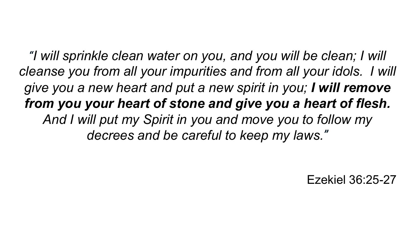*"I will sprinkle clean water on you, and you will be clean; I will cleanse you from all your impurities and from all your idols. I will give you a new heart and put a new spirit in you; I will remove from you your heart of stone and give you a heart of flesh. And I will put my Spirit in you and move you to follow my decrees and be careful to keep my laws."*

Ezekiel 36:25-27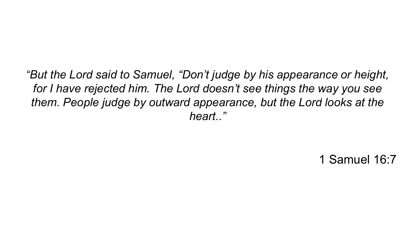*"But the Lord said to Samuel, "Don't judge by his appearance or height, for I have rejected him. The Lord doesn't see things the way you see them. People judge by outward appearance, but the Lord looks at the heart.."*

1 Samuel 16:7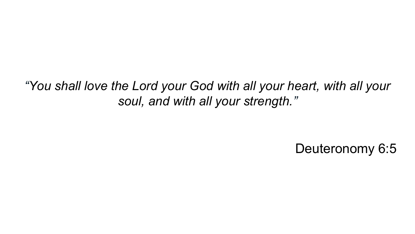*"You shall love the Lord your God with all your heart, with all your soul, and with all your strength."*

Deuteronomy 6:5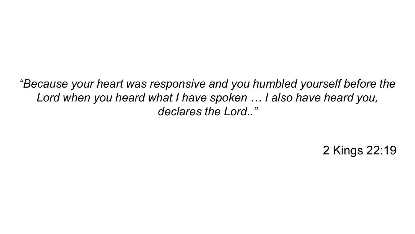*"Because your heart was responsive and you humbled yourself before the Lord when you heard what I have spoken … I also have heard you, declares the Lord.."*

2 Kings 22:19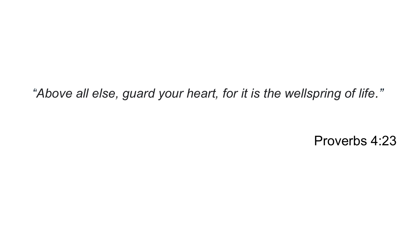*"Above all else, guard your heart, for it is the wellspring of life."*

Proverbs 4:23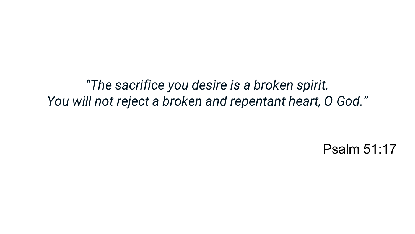*"The sacrifice you desire is a broken spirit. You will not reject a broken and repentant heart, O God."*

Psalm 51:17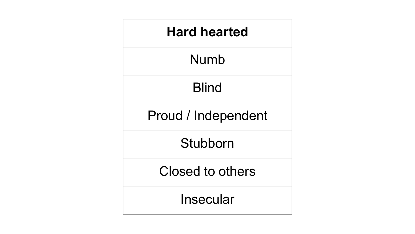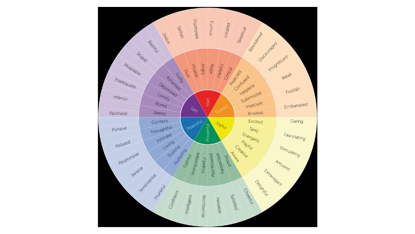